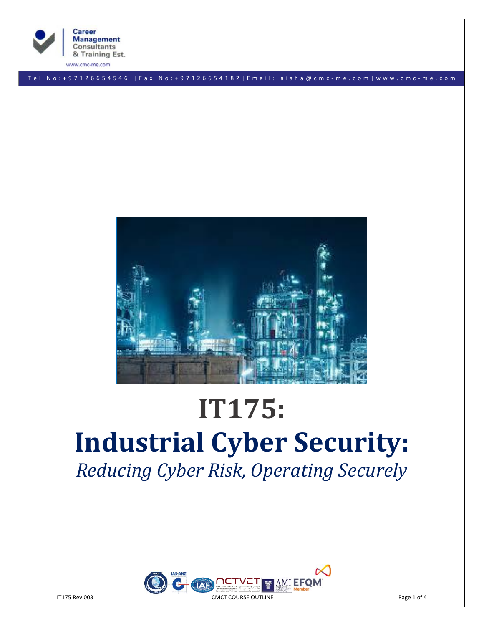

**Career Management Consultants** & Training Est.

www.cmc-me.com

T e l N o : + 9 7 1 2 6 6 5 4 5 4 6 | F a x N o : + 9 7 1 2 6 6 5 4 1 8 2 | E m a i l : a i s h a @ c m c - m e . c o m | w w w . c m c - m e . c o m



# **IT175: Industrial Cyber Security:** *Reducing Cyber Risk, Operating Securely*

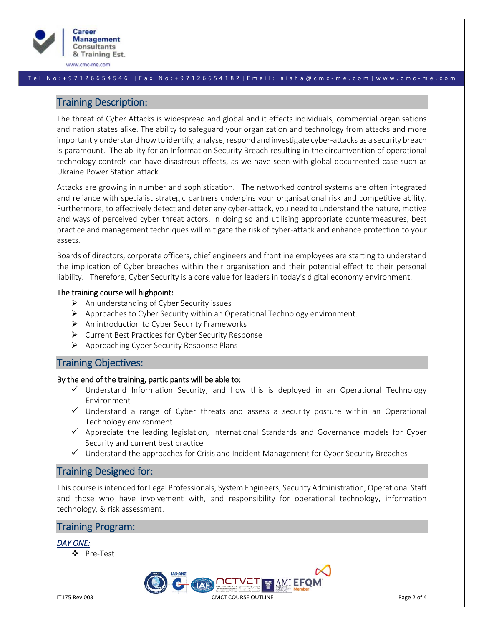

www.cmc-me.com

#### T e l N o : + 9 7 1 2 6 6 5 4 5 4 6 | F a x N o : + 9 7 1 2 6 6 5 4 1 8 2 | E m a i l : a i s h a @ c m c - m e . c o m | w w w . c m c - m e . c o m

# Training Description:

The threat of Cyber Attacks is widespread and global and it effects individuals, commercial organisations and nation states alike. The ability to safeguard your organization and technology from attacks and more importantly understand how to identify, analyse, respond and investigate cyber-attacks as a security breach is paramount. The ability for an Information Security Breach resulting in the circumvention of operational technology controls can have disastrous effects, as we have seen with global documented case such as Ukraine Power Station attack.

Attacks are growing in number and sophistication. The networked control systems are often integrated and reliance with specialist strategic partners underpins your organisational risk and competitive ability. Furthermore, to effectively detect and deter any cyber-attack, you need to understand the nature, motive and ways of perceived cyber threat actors. In doing so and utilising appropriate countermeasures, best practice and management techniques will mitigate the risk of cyber-attack and enhance protection to your assets.

Boards of directors, corporate officers, chief engineers and frontline employees are starting to understand the implication of Cyber breaches within their organisation and their potential effect to their personal liability. Therefore, Cyber Security is a core value for leaders in today's digital economy environment.

#### The training course will highpoint:

- $\triangleright$  An understanding of Cyber Security issues
- $\triangleright$  Approaches to Cyber Security within an Operational Technology environment.
- $\triangleright$  An introduction to Cyber Security Frameworks
- ➢ Current Best Practices for Cyber Security Response
- ➢ Approaching Cyber Security Response Plans

# Training Objectives:

#### By the end of the training, participants will be able to:

- ✓ Understand Information Security, and how this is deployed in an Operational Technology Environment
- ✓ Understand a range of Cyber threats and assess a security posture within an Operational Technology environment
- $\checkmark$  Appreciate the leading legislation, International Standards and Governance models for Cyber Security and current best practice
- ✓ Understand the approaches for Crisis and Incident Management for Cyber Security Breaches

# Training Designed for:

This course is intended for Legal Professionals, System Engineers, Security Administration, Operational Staff and those who have involvement with, and responsibility for operational technology, information technology, & risk assessment.

# Training Program:

## *DAY ONE:*

❖ Pre-Test

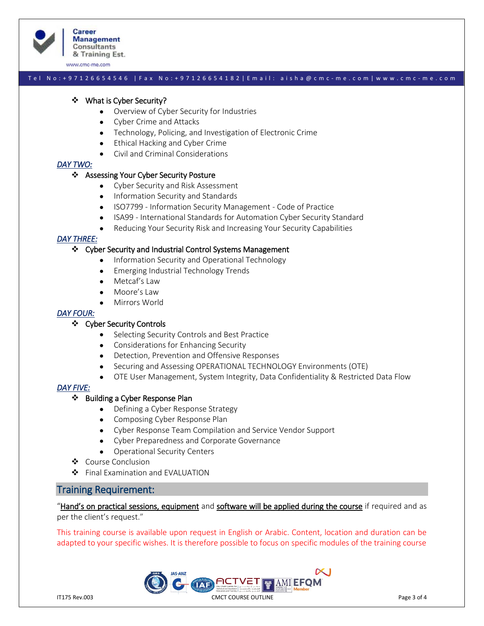

www.cmc-me.com

#### T e l N o : + 9 7 1 2 6 6 5 4 5 4 6 | F a x N o : + 9 7 1 2 6 6 5 4 1 8 2 | E m a i l : a i s h a @ c m c - m e . c o m | w w w . c m c - m e . c o m

#### ❖ What is Cyber Security?

- Overview of Cyber Security for Industries
- Cyber Crime and Attacks
- Technology, Policing, and Investigation of Electronic Crime
- Ethical Hacking and Cyber Crime
- Civil and Criminal Considerations

## *DAY TWO:*

#### ❖ Assessing Your Cyber Security Posture

- Cyber Security and Risk Assessment
- Information Security and Standards
- ISO7799 Information Security Management Code of Practice
- ISA99 International Standards for Automation Cyber Security Standard
- Reducing Your Security Risk and Increasing Your Security Capabilities

## *DAY THREE:*

#### ❖ Cyber Security and Industrial Control Systems Management

- Information Security and Operational Technology
- Emerging Industrial Technology Trends
- Metcaf's Law
- Moore's Law
- Mirrors World

### *DAY FOUR:*

# ❖ Cyber Security Controls

- Selecting Security Controls and Best Practice
- Considerations for Enhancing Security
- Detection, Prevention and Offensive Responses
- Securing and Assessing OPERATIONAL TECHNOLOGY Environments (OTE)
- OTE User Management, System Integrity, Data Confidentiality & Restricted Data Flow

## *DAY FIVE:*

## ❖ Building a Cyber Response Plan

- Defining a Cyber Response Strategy
- Composing Cyber Response Plan
- Cyber Response Team Compilation and Service Vendor Support
- Cyber Preparedness and Corporate Governance
- Operational Security Centers
- ❖ Course Conclusion
- ❖ Final Examination and EVALUATION

# Training Requirement:

"Hand's on practical sessions, equipment and software will be applied during the course if required and as per the client's request."

This training course is available upon request in English or Arabic. Content, location and duration can be adapted to your specific wishes. It is therefore possible to focus on specific modules of the training course